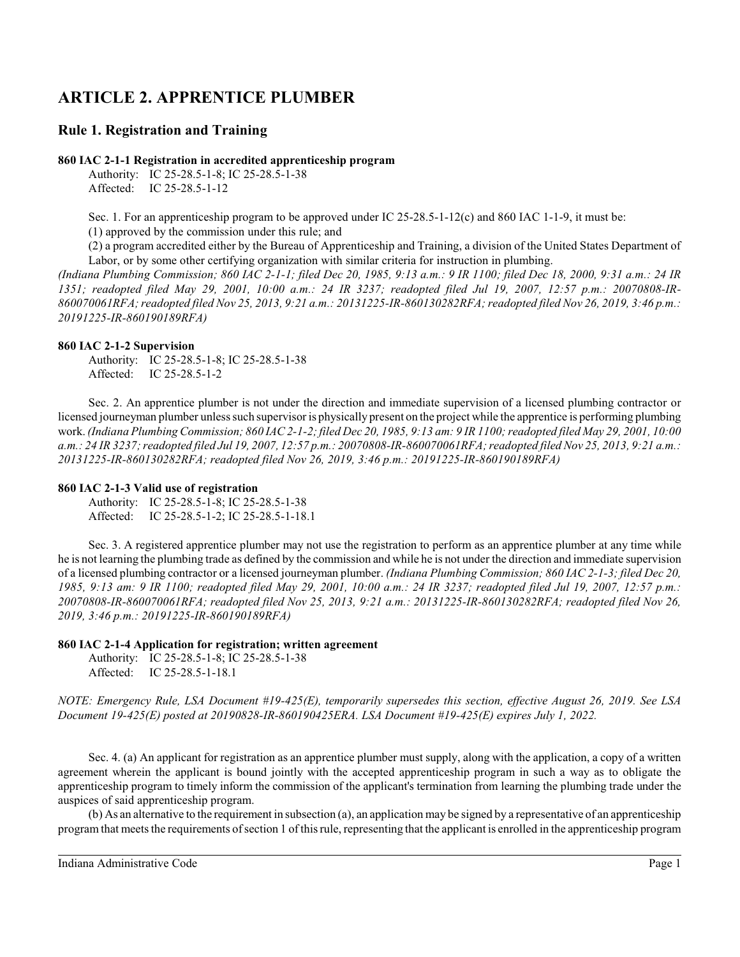# **ARTICLE 2. APPRENTICE PLUMBER**

# **Rule 1. Registration and Training**

#### **860 IAC 2-1-1 Registration in accredited apprenticeship program**

Authority: IC 25-28.5-1-8; IC 25-28.5-1-38 Affected: IC 25-28.5-1-12

Sec. 1. For an apprenticeship program to be approved under IC 25-28.5-1-12(c) and 860 IAC 1-1-9, it must be: (1) approved by the commission under this rule; and

(2) a program accredited either by the Bureau of Apprenticeship and Training, a division of the United States Department of Labor, or by some other certifying organization with similar criteria for instruction in plumbing.

*(Indiana Plumbing Commission; 860 IAC 2-1-1; filed Dec 20, 1985, 9:13 a.m.: 9 IR 1100; filed Dec 18, 2000, 9:31 a.m.: 24 IR 1351; readopted filed May 29, 2001, 10:00 a.m.: 24 IR 3237; readopted filed Jul 19, 2007, 12:57 p.m.: 20070808-IR-860070061RFA; readopted filed Nov 25, 2013, 9:21 a.m.: 20131225-IR-860130282RFA; readopted filed Nov 26, 2019, 3:46 p.m.: 20191225-IR-860190189RFA)*

#### **860 IAC 2-1-2 Supervision**

Authority: IC 25-28.5-1-8; IC 25-28.5-1-38 Affected: IC 25-28.5-1-2

Sec. 2. An apprentice plumber is not under the direction and immediate supervision of a licensed plumbing contractor or licensed journeyman plumber unless such supervisor is physically present on the project while the apprentice is performing plumbing work. *(Indiana Plumbing Commission; 860 IAC 2-1-2; filed Dec 20, 1985, 9:13 am: 9 IR 1100; readopted filed May 29, 2001, 10:00 a.m.: 24 IR 3237; readopted filed Jul 19, 2007, 12:57 p.m.: 20070808-IR-860070061RFA; readopted filed Nov 25, 2013, 9:21 a.m.: 20131225-IR-860130282RFA; readopted filed Nov 26, 2019, 3:46 p.m.: 20191225-IR-860190189RFA)*

#### **860 IAC 2-1-3 Valid use of registration**

Authority: IC 25-28.5-1-8; IC 25-28.5-1-38 Affected: IC 25-28.5-1-2; IC 25-28.5-1-18.1

Sec. 3. A registered apprentice plumber may not use the registration to perform as an apprentice plumber at any time while he is not learning the plumbing trade as defined by the commission and while he is not under the direction and immediate supervision of a licensed plumbing contractor or a licensed journeyman plumber. *(Indiana Plumbing Commission; 860 IAC 2-1-3; filed Dec 20, 1985, 9:13 am: 9 IR 1100; readopted filed May 29, 2001, 10:00 a.m.: 24 IR 3237; readopted filed Jul 19, 2007, 12:57 p.m.: 20070808-IR-860070061RFA; readopted filed Nov 25, 2013, 9:21 a.m.: 20131225-IR-860130282RFA; readopted filed Nov 26, 2019, 3:46 p.m.: 20191225-IR-860190189RFA)*

## **860 IAC 2-1-4 Application for registration; written agreement**

Authority: IC 25-28.5-1-8; IC 25-28.5-1-38 Affected: IC 25-28.5-1-18.1

*NOTE: Emergency Rule, LSA Document #19-425(E), temporarily supersedes this section, effective August 26, 2019. See LSA Document 19-425(E) posted at 20190828-IR-860190425ERA. LSA Document #19-425(E) expires July 1, 2022.*

Sec. 4. (a) An applicant for registration as an apprentice plumber must supply, along with the application, a copy of a written agreement wherein the applicant is bound jointly with the accepted apprenticeship program in such a way as to obligate the apprenticeship program to timely inform the commission of the applicant's termination from learning the plumbing trade under the auspices of said apprenticeship program.

(b) As an alternative to the requirement in subsection (a), an application may be signed by a representative of an apprenticeship program that meets the requirements of section 1 of thisrule, representing that the applicant is enrolled in the apprenticeship program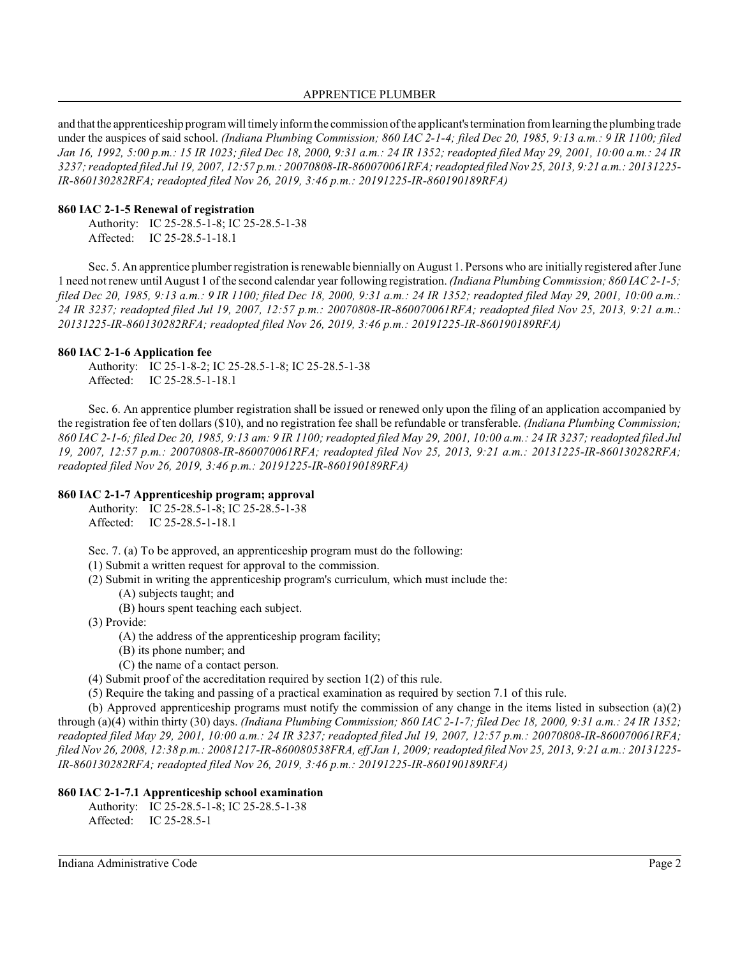#### APPRENTICE PLUMBER

and that the apprenticeship programwill timely informthe commission of the applicant'stermination fromlearning the plumbing trade under the auspices of said school. *(Indiana Plumbing Commission; 860 IAC 2-1-4; filed Dec 20, 1985, 9:13 a.m.: 9 IR 1100; filed Jan 16, 1992, 5:00 p.m.: 15 IR 1023; filed Dec 18, 2000, 9:31 a.m.: 24 IR 1352; readopted filed May 29, 2001, 10:00 a.m.: 24 IR 3237; readopted filed Jul 19, 2007, 12:57 p.m.: 20070808-IR-860070061RFA; readopted filed Nov 25, 2013, 9:21 a.m.: 20131225- IR-860130282RFA; readopted filed Nov 26, 2019, 3:46 p.m.: 20191225-IR-860190189RFA)*

#### **860 IAC 2-1-5 Renewal of registration**

Authority: IC 25-28.5-1-8; IC 25-28.5-1-38 Affected: IC 25-28.5-1-18.1

Sec. 5. An apprentice plumber registration is renewable biennially on August 1. Persons who are initially registered after June 1 need not renew until August 1 of the second calendar year following registration. *(Indiana Plumbing Commission; 860 IAC 2-1-5; filed Dec 20, 1985, 9:13 a.m.: 9 IR 1100; filed Dec 18, 2000, 9:31 a.m.: 24 IR 1352; readopted filed May 29, 2001, 10:00 a.m.: 24 IR 3237; readopted filed Jul 19, 2007, 12:57 p.m.: 20070808-IR-860070061RFA; readopted filed Nov 25, 2013, 9:21 a.m.: 20131225-IR-860130282RFA; readopted filed Nov 26, 2019, 3:46 p.m.: 20191225-IR-860190189RFA)*

#### **860 IAC 2-1-6 Application fee**

Authority: IC 25-1-8-2; IC 25-28.5-1-8; IC 25-28.5-1-38 Affected: IC 25-28.5-1-18.1

Sec. 6. An apprentice plumber registration shall be issued or renewed only upon the filing of an application accompanied by the registration fee of ten dollars (\$10), and no registration fee shall be refundable or transferable. *(Indiana Plumbing Commission; 860 IAC 2-1-6; filed Dec 20, 1985, 9:13 am: 9 IR 1100; readopted filed May 29, 2001, 10:00 a.m.: 24 IR 3237; readopted filed Jul 19, 2007, 12:57 p.m.: 20070808-IR-860070061RFA; readopted filed Nov 25, 2013, 9:21 a.m.: 20131225-IR-860130282RFA; readopted filed Nov 26, 2019, 3:46 p.m.: 20191225-IR-860190189RFA)*

## **860 IAC 2-1-7 Apprenticeship program; approval**

Authority: IC 25-28.5-1-8; IC 25-28.5-1-38 Affected: IC 25-28.5-1-18.1

Sec. 7. (a) To be approved, an apprenticeship program must do the following:

- (1) Submit a written request for approval to the commission.
- (2) Submit in writing the apprenticeship program's curriculum, which must include the:
	- (A) subjects taught; and
		- (B) hours spent teaching each subject.
- (3) Provide:
	- (A) the address of the apprenticeship program facility;
	- (B) its phone number; and
	- (C) the name of a contact person.
- (4) Submit proof of the accreditation required by section 1(2) of this rule.
- (5) Require the taking and passing of a practical examination as required by section 7.1 of this rule.

(b) Approved apprenticeship programs must notify the commission of any change in the items listed in subsection  $(a)(2)$ through (a)(4) within thirty (30) days. *(Indiana Plumbing Commission; 860 IAC 2-1-7; filed Dec 18, 2000, 9:31 a.m.: 24 IR 1352; readopted filed May 29, 2001, 10:00 a.m.: 24 IR 3237; readopted filed Jul 19, 2007, 12:57 p.m.: 20070808-IR-860070061RFA; filed Nov 26, 2008, 12:38 p.m.: 20081217-IR-860080538FRA, eff Jan 1, 2009; readopted filed Nov 25, 2013, 9:21 a.m.: 20131225- IR-860130282RFA; readopted filed Nov 26, 2019, 3:46 p.m.: 20191225-IR-860190189RFA)*

#### **860 IAC 2-1-7.1 Apprenticeship school examination**

Authority: IC 25-28.5-1-8; IC 25-28.5-1-38 Affected: IC 25-28.5-1